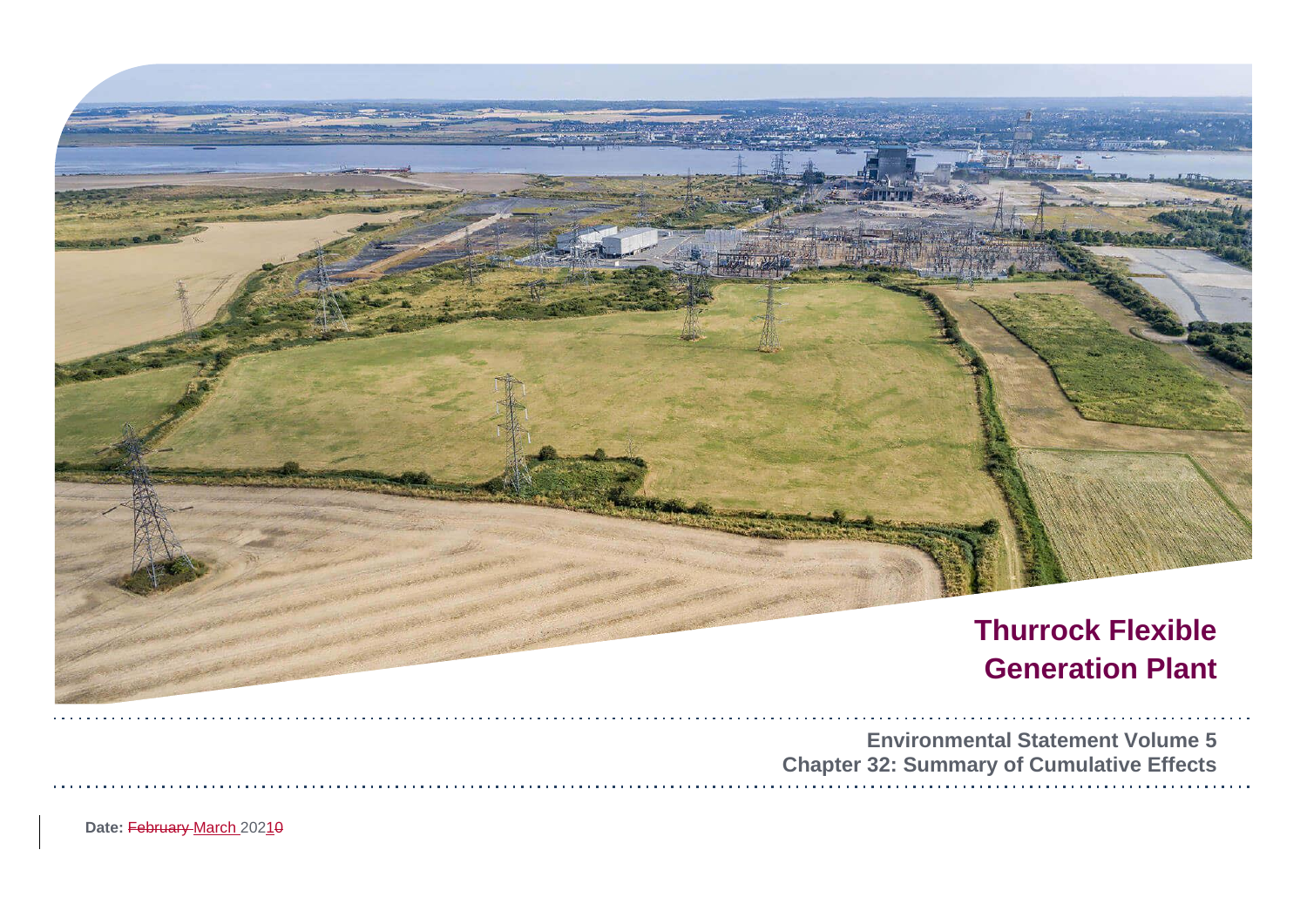

Date: February March 20210

| tal Statement Volume 5  |  |  |  |  |  |  |  |  |  |  |  |  |  |  |  |  |
|-------------------------|--|--|--|--|--|--|--|--|--|--|--|--|--|--|--|--|
| y of Cumulative Effects |  |  |  |  |  |  |  |  |  |  |  |  |  |  |  |  |
|                         |  |  |  |  |  |  |  |  |  |  |  |  |  |  |  |  |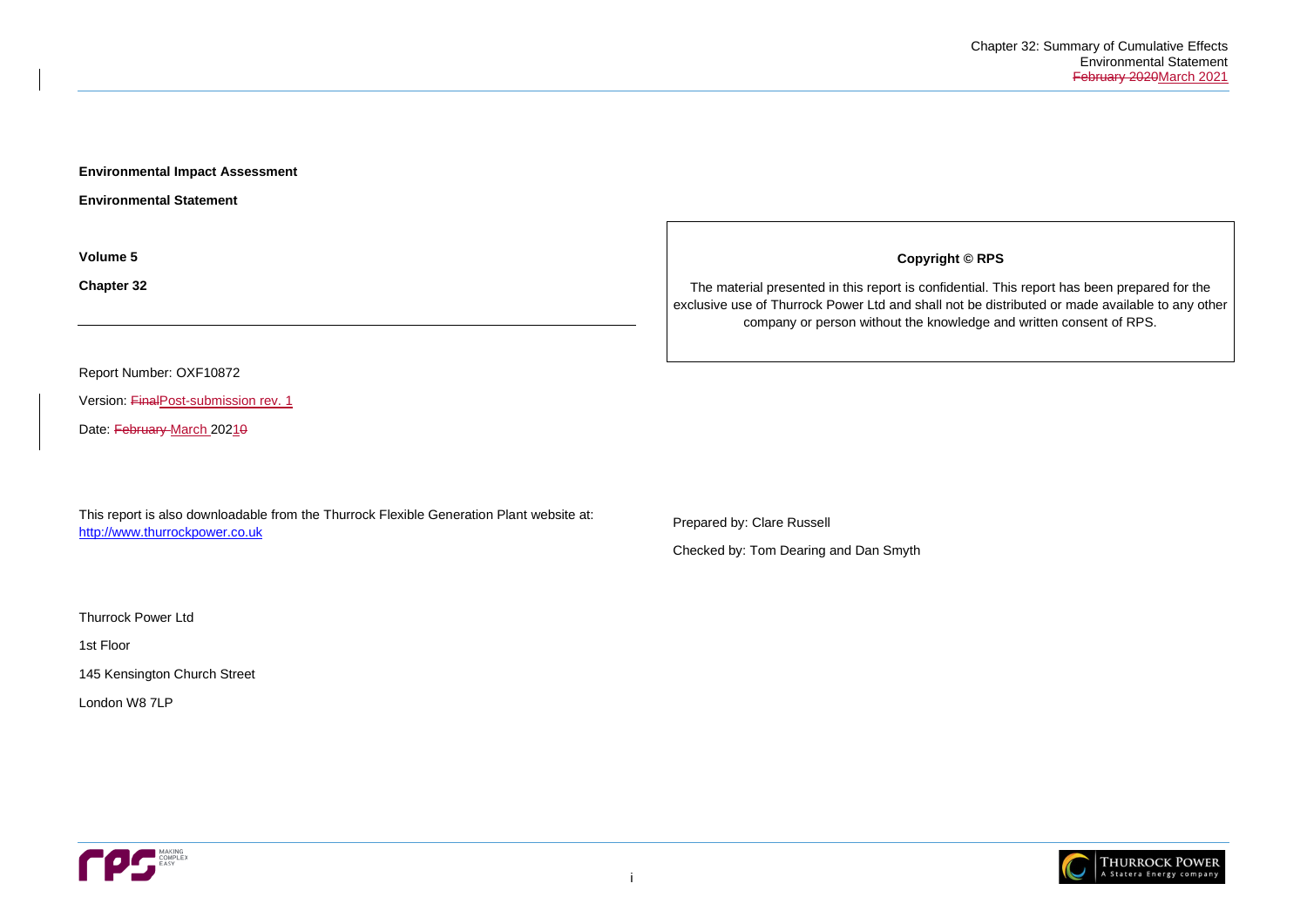

**Environmental Impact Assessment** 

**Environmental Statement**

**Volume 5**

**Chapter 32**

Report Number: OXF10872

Version: FinalPost-submission rev. 1

Date: February March 20210

This report is also downloadable from the Thurrock Flexible Generation Plant website at: [http://www.thurrockpower.co.uk](http://www.thurrockpower.co.uk/)

Thurrock Power Ltd

1st Floor

145 Kensington Church Street

London W8 7LP



**Copyright © RPS**

The material presented in this report is confidential. This report has been prepared for the exclusive use of Thurrock Power Ltd and shall not be distributed or made available to any other company or person without the knowledge and written consent of RPS.

Prepared by: Clare Russell

Checked by: Tom Dearing and Dan Smyth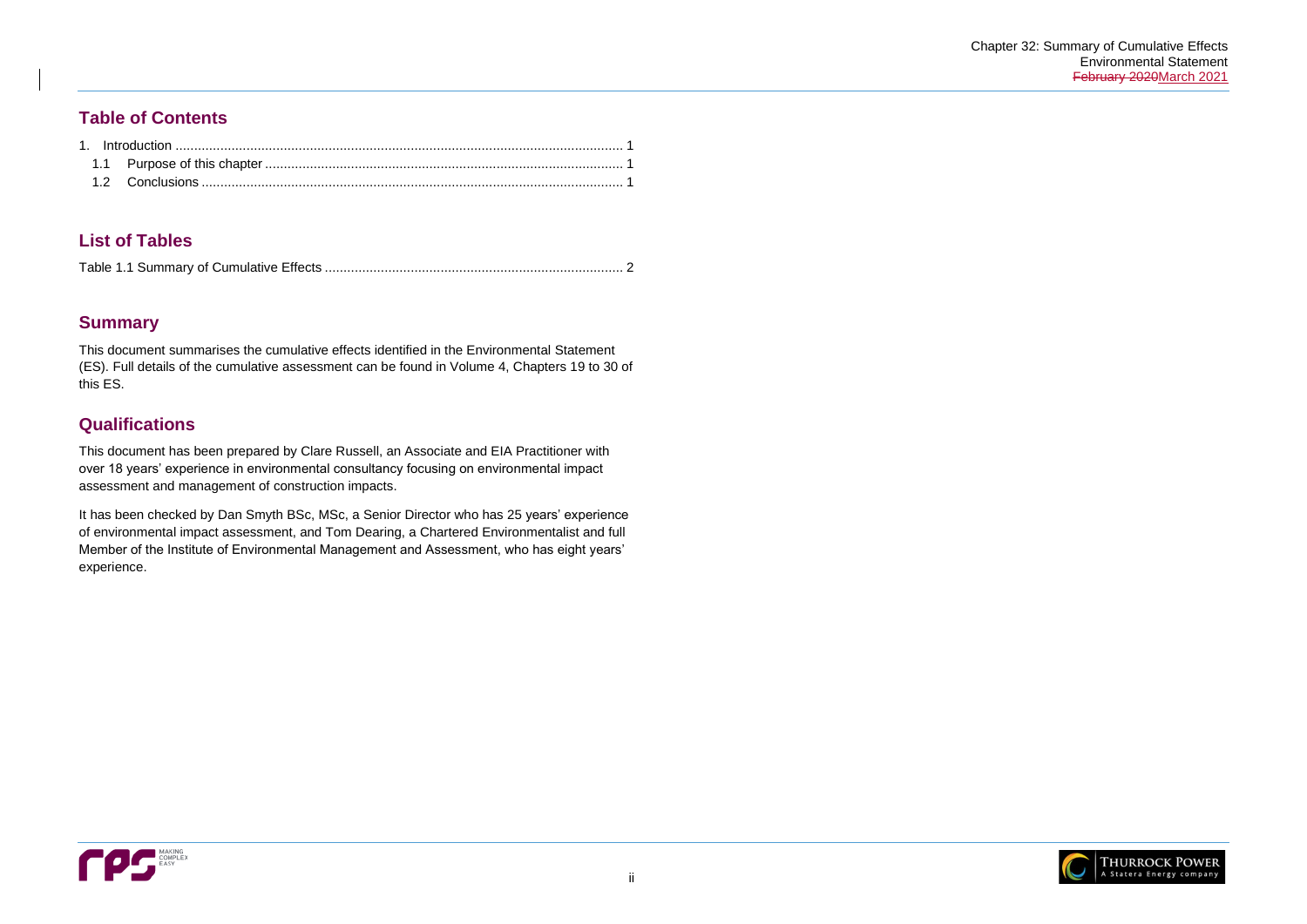

## **Table of Contents**

# **List of Tables**

|--|--|

# **Summary**

This document summarises the cumulative effects identified in the Environmental Statement (ES). Full details of the cumulative assessment can be found in Volume 4, Chapters 19 to 30 of this ES.

# **Qualifications**

This document has been prepared by Clare Russell, an Associate and EIA Practitioner with over 18 years' experience in environmental consultancy focusing on environmental impact assessment and management of construction impacts.

It has been checked by Dan Smyth BSc, MSc, a Senior Director who has 25 years' experience of environmental impact assessment, and Tom Dearing, a Chartered Environmentalist and full Member of the Institute of Environmental Management and Assessment, who has eight years' experience.

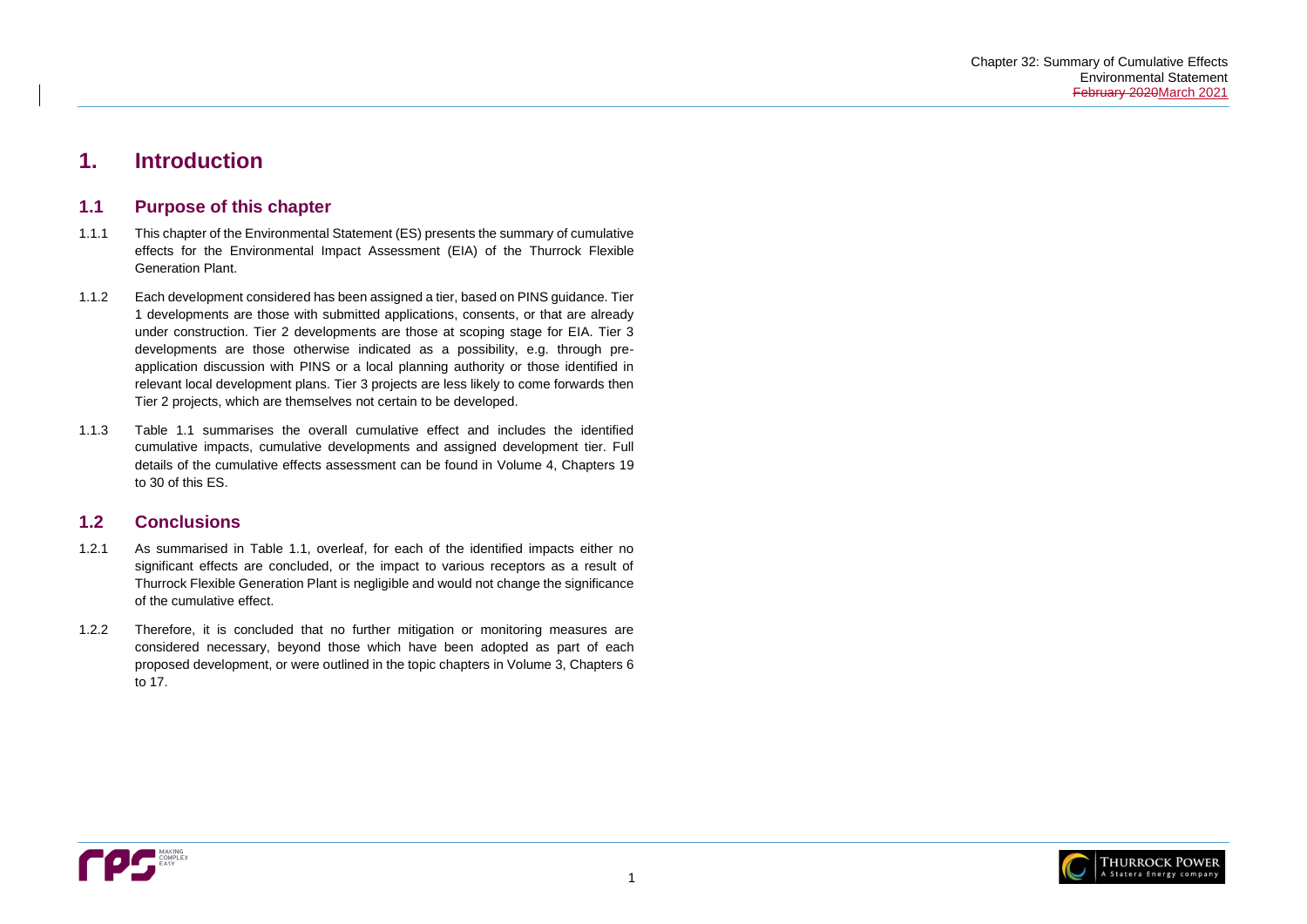

# <span id="page-3-0"></span>**1. Introduction**

## <span id="page-3-1"></span>**1.1 Purpose of this chapter**

- 1.1.1 This chapter of the Environmental Statement (ES) presents the summary of cumulative effects for the Environmental Impact Assessment (EIA) of the Thurrock Flexible Generation Plant.
- 1.1.2 Each development considered has been assigned a tier, based on PINS guidance. Tier 1 developments are those with submitted applications, consents, or that are already under construction. Tier 2 developments are those at scoping stage for EIA. Tier 3 developments are those otherwise indicated as a possibility, e.g. through preapplication discussion with PINS or a local planning authority or those identified in relevant local development plans. Tier 3 projects are less likely to come forwards then Tier 2 projects, which are themselves not certain to be developed.
- 1.1.3 [Table 1.1](#page-4-0) summarises the overall cumulative effect and includes the identified cumulative impacts, cumulative developments and assigned development tier. Full details of the cumulative effects assessment can be found in Volume 4, Chapters 19 to 30 of this ES.

## <span id="page-3-2"></span>**1.2 Conclusions**

- 1.2.1 As summarised in [Table 1.1,](#page-4-0) overleaf, for each of the identified impacts either no significant effects are concluded, or the impact to various receptors as a result of Thurrock Flexible Generation Plant is negligible and would not change the significance of the cumulative effect.
- 1.2.2 Therefore, it is concluded that no further mitigation or monitoring measures are considered necessary, beyond those which have been adopted as part of each proposed development, or were outlined in the topic chapters in Volume 3, Chapters 6 to 17.

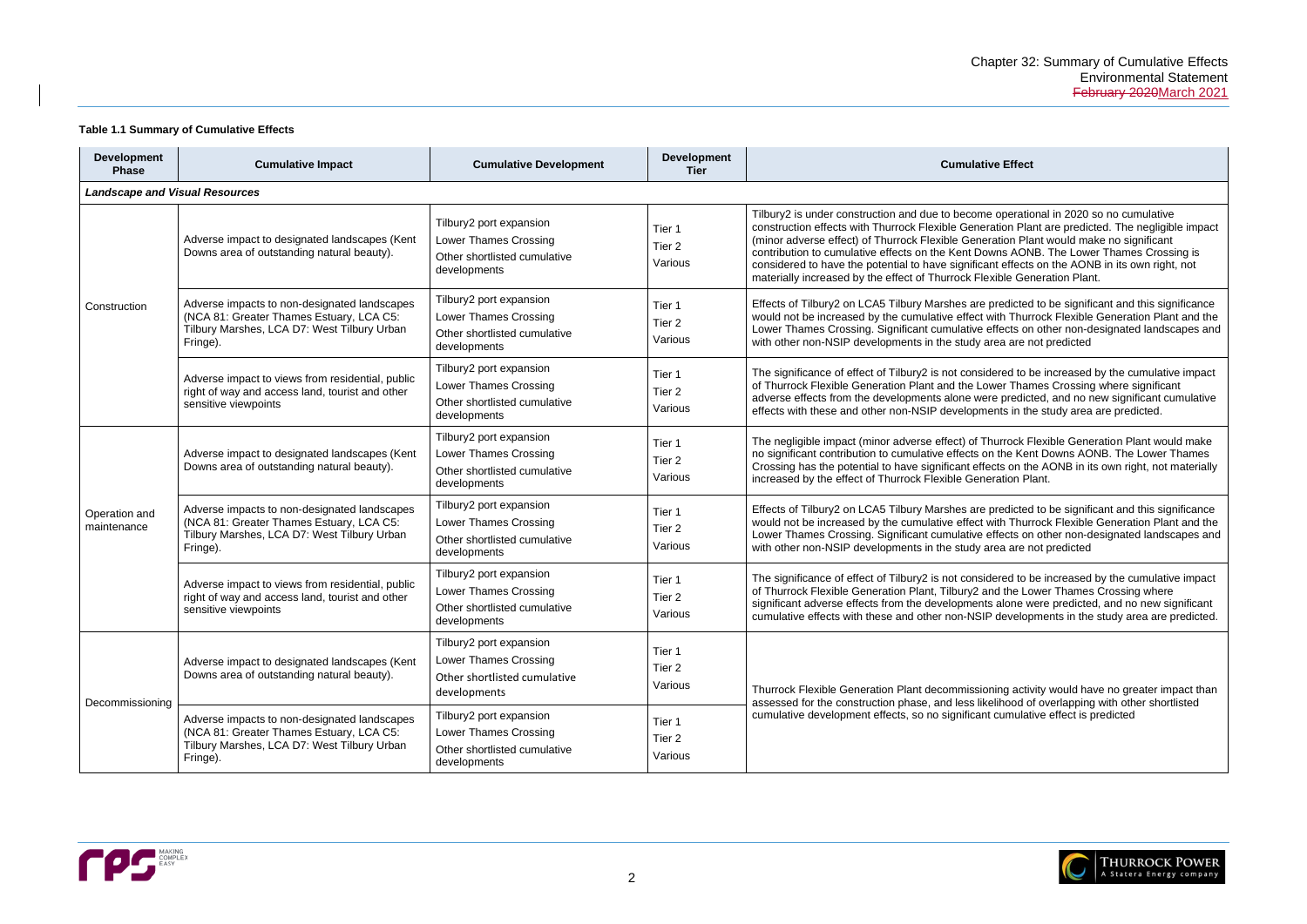| ve Effect |
|-----------|
|-----------|

e operational in 2020 so no cumulative ration Plant are predicted. The negligible impact ration Plant would make no significant wns AONB. The Lower Thames Crossing is int effects on the AONB in its own right, not wible Generation Plant.

predicted to be significant and this significance with Thurrock Flexible Generation Plant and the effects on other non-designated landscapes and are are not predicted

dered to be increased by the cumulative impact wer Thames Crossing where significant re predicted, and no new significant cumulative ents in the study area are predicted.

Thurrock Flexible Generation Plant would make on the Kent Downs AONB. The Lower Thames ects on the AONB in its own right, not materially eration Plant.

predicted to be significant and this significance with Thurrock Flexible Generation Plant and the effects on other non-designated landscapes and are are not predicted

dered to be increased by the cumulative impact nd the Lower Thames Crossing where s alone were predicted, and no new significant <sup>2</sup> developments in the study area are predicted.

ning activity would have no greater impact than elihood of overlapping with other shortlisted cumulative effect is predicted



### <span id="page-4-0"></span>**Table 1.1 Summary of Cumulative Effects**

| <b>Development</b><br><b>Phase</b>    | <b>Cumulative Impact</b>                                                                                                                            | <b>Cumulative Development</b>                                                                           | <b>Development</b><br><b>Tier</b>      | <b>Cumulative Effect</b>                                                                                                                                                                                                                                                                                                                                                          |
|---------------------------------------|-----------------------------------------------------------------------------------------------------------------------------------------------------|---------------------------------------------------------------------------------------------------------|----------------------------------------|-----------------------------------------------------------------------------------------------------------------------------------------------------------------------------------------------------------------------------------------------------------------------------------------------------------------------------------------------------------------------------------|
| <b>Landscape and Visual Resources</b> |                                                                                                                                                     |                                                                                                         |                                        |                                                                                                                                                                                                                                                                                                                                                                                   |
|                                       | Adverse impact to designated landscapes (Kent<br>Downs area of outstanding natural beauty).                                                         | Tilbury2 port expansion<br>Lower Thames Crossing<br>Other shortlisted cumulative<br>developments        | Tier 1<br>Tier <sub>2</sub><br>Various | Tilbury2 is under construction and due to become operation<br>construction effects with Thurrock Flexible Generation Pla<br>(minor adverse effect) of Thurrock Flexible Generation Pla<br>contribution to cumulative effects on the Kent Downs AON<br>considered to have the potential to have significant effects<br>materially increased by the effect of Thurrock Flexible Ger |
| Construction                          | Adverse impacts to non-designated landscapes<br>(NCA 81: Greater Thames Estuary, LCA C5:<br>Tilbury Marshes, LCA D7: West Tilbury Urban<br>Fringe). | Tilbury2 port expansion<br><b>Lower Thames Crossing</b><br>Other shortlisted cumulative<br>developments | Tier 1<br>Tier <sub>2</sub><br>Various | Effects of Tilbury2 on LCA5 Tilbury Marshes are predicted<br>would not be increased by the cumulative effect with Thur<br>Lower Thames Crossing. Significant cumulative effects on<br>with other non-NSIP developments in the study area are n                                                                                                                                    |
|                                       | Adverse impact to views from residential, public<br>right of way and access land, tourist and other<br>sensitive viewpoints                         | Tilbury2 port expansion<br><b>Lower Thames Crossing</b><br>Other shortlisted cumulative<br>developments | Tier 1<br>Tier <sub>2</sub><br>Various | The significance of effect of Tilbury2 is not considered to b<br>of Thurrock Flexible Generation Plant and the Lower Thar<br>adverse effects from the developments alone were predict<br>effects with these and other non-NSIP developments in th                                                                                                                                 |
|                                       | Adverse impact to designated landscapes (Kent<br>Downs area of outstanding natural beauty).                                                         | Tilbury2 port expansion<br><b>Lower Thames Crossing</b><br>Other shortlisted cumulative<br>developments | Tier 1<br>Tier <sub>2</sub><br>Various | The negligible impact (minor adverse effect) of Thurrock F<br>no significant contribution to cumulative effects on the Ker<br>Crossing has the potential to have significant effects on th<br>increased by the effect of Thurrock Flexible Generation Pl                                                                                                                          |
| Operation and<br>maintenance          | Adverse impacts to non-designated landscapes<br>(NCA 81: Greater Thames Estuary, LCA C5:<br>Tilbury Marshes, LCA D7: West Tilbury Urban<br>Fringe). | Tilbury2 port expansion<br><b>Lower Thames Crossing</b><br>Other shortlisted cumulative<br>developments | Tier 1<br>Tier 2<br>Various            | Effects of Tilbury2 on LCA5 Tilbury Marshes are predicted<br>would not be increased by the cumulative effect with Thur<br>Lower Thames Crossing. Significant cumulative effects on<br>with other non-NSIP developments in the study area are n                                                                                                                                    |
|                                       | Adverse impact to views from residential, public<br>right of way and access land, tourist and other<br>sensitive viewpoints                         | Tilbury2 port expansion<br><b>Lower Thames Crossing</b><br>Other shortlisted cumulative<br>developments | Tier 1<br>Tier 2<br>Various            | The significance of effect of Tilbury2 is not considered to b<br>of Thurrock Flexible Generation Plant, Tilbury2 and the Lo<br>significant adverse effects from the developments alone w<br>cumulative effects with these and other non-NSIP develop                                                                                                                              |
| Decommissioning                       | Adverse impact to designated landscapes (Kent<br>Downs area of outstanding natural beauty).                                                         | Tilbury2 port expansion<br>Lower Thames Crossing<br>Other shortlisted cumulative<br>developments        | Tier 1<br>Tier <sub>2</sub><br>Various | Thurrock Flexible Generation Plant decommissioning activ<br>assessed for the construction phase, and less likelihood o                                                                                                                                                                                                                                                            |
|                                       | Adverse impacts to non-designated landscapes<br>(NCA 81: Greater Thames Estuary, LCA C5:<br>Tilbury Marshes, LCA D7: West Tilbury Urban<br>Fringe). | Tilbury2 port expansion<br>Lower Thames Crossing<br>Other shortlisted cumulative<br>developments        | Tier 1<br>Tier 2<br>Various            | cumulative development effects, so no significant cumulat                                                                                                                                                                                                                                                                                                                         |

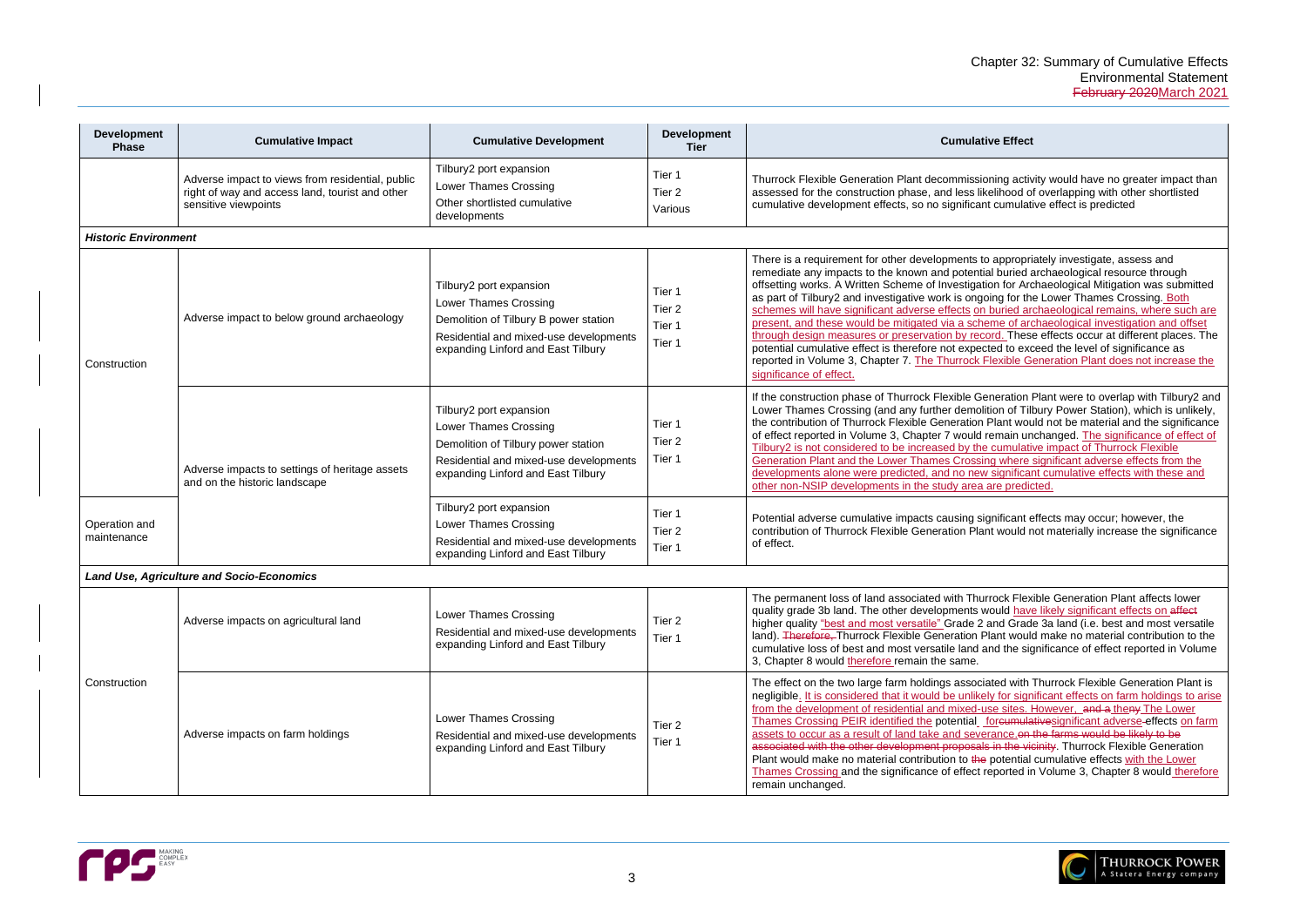ing activity would have no greater impact than lihood of overlapping with other shortlisted cumulative effect is predicted

appropriately investigate, assess and I buried archaeological resource through on for Archaeological Mitigation was submitted ng for the Lower Thames Crossing. Both suried archaeological remains, where such are me of archaeological investigation and offset rd. These effects occur at different places. The ed to exceed the level of significance as exible Generation Plant does not increase the

Ieration Plant were to overlap with Tilbury2 and ion of Tilbury Power Station), which is unlikely, lant would not be material and the significance emain unchanged. The significance of effect of cumulative impact of Thurrock Flexible g where significant adverse effects from the significant cumulative effects with these and re predicted.

nificant effects may occur; however, the t would not materially increase the significance

Tock Flexible Generation Plant affects lower buld have likely significant effects on affect Ind Grade 3a land (i.e. best and most versatile ant would make no material contribution to the nd the significance of effect reported in Volume

ted with Thurrock Flexible Generation Plant is If for significant effects on farm holdings to arise from the sites. However, and a theny The Lower **Dreumulative significant adverse-effects on farm** ance on the farms would be likely to be in the vicinity. Thurrock Flexible Generation potential cumulative effects with the Lower ported in Volume 3, Chapter 8 would therefore



| <b>Development</b><br><b>Phase</b> | <b>Cumulative Impact</b>                                                                                                    | <b>Cumulative Development</b>                                                                                                                                                    | <b>Development</b><br><b>Tier</b>               | <b>Cumulative Effect</b>                                                                                                                                                                                                                                                                                                                                                                                                                                                                                                                                                                            |  |
|------------------------------------|-----------------------------------------------------------------------------------------------------------------------------|----------------------------------------------------------------------------------------------------------------------------------------------------------------------------------|-------------------------------------------------|-----------------------------------------------------------------------------------------------------------------------------------------------------------------------------------------------------------------------------------------------------------------------------------------------------------------------------------------------------------------------------------------------------------------------------------------------------------------------------------------------------------------------------------------------------------------------------------------------------|--|
|                                    | Adverse impact to views from residential, public<br>right of way and access land, tourist and other<br>sensitive viewpoints | Tilbury2 port expansion<br><b>Lower Thames Crossing</b><br>Other shortlisted cumulative<br>developments                                                                          | Tier 1<br>Tier 2<br>Various                     | Thurrock Flexible Generation Plant decommissioning activ<br>assessed for the construction phase, and less likelihood o<br>cumulative development effects, so no significant cumulat                                                                                                                                                                                                                                                                                                                                                                                                                 |  |
| <b>Historic Environment</b>        |                                                                                                                             |                                                                                                                                                                                  |                                                 |                                                                                                                                                                                                                                                                                                                                                                                                                                                                                                                                                                                                     |  |
| Construction                       | Adverse impact to below ground archaeology                                                                                  | Tilbury2 port expansion<br><b>Lower Thames Crossing</b><br>Demolition of Tilbury B power station<br>Residential and mixed-use developments<br>expanding Linford and East Tilbury | Tier 1<br>Tier <sub>2</sub><br>Tier 1<br>Tier 1 | There is a requirement for other developments to appropri<br>remediate any impacts to the known and potential buried a<br>offsetting works. A Written Scheme of Investigation for Ard<br>as part of Tilbury2 and investigative work is ongoing for th<br>schemes will have significant adverse effects on buried ar<br>present, and these would be mitigated via a scheme of are<br>through design measures or preservation by record. These<br>potential cumulative effect is therefore not expected to exc<br>reported in Volume 3, Chapter 7. The Thurrock Flexible G<br>significance of effect. |  |
|                                    | Adverse impacts to settings of heritage assets<br>and on the historic landscape                                             | Tilbury2 port expansion<br><b>Lower Thames Crossing</b><br>Demolition of Tilbury power station<br>Residential and mixed-use developments<br>expanding Linford and East Tilbury   | Tier 1<br>Tier 2<br>Tier 1                      | If the construction phase of Thurrock Flexible Generation<br>Lower Thames Crossing (and any further demolition of Till<br>the contribution of Thurrock Flexible Generation Plant wou<br>of effect reported in Volume 3, Chapter 7 would remain un<br>Tilbury2 is not considered to be increased by the cumulati<br>Generation Plant and the Lower Thames Crossing where<br>developments alone were predicted, and no new significal<br>other non-NSIP developments in the study area are predic                                                                                                     |  |
| Operation and<br>maintenance       |                                                                                                                             | Tilbury2 port expansion<br>Lower Thames Crossing<br>Residential and mixed-use developments<br>expanding Linford and East Tilbury                                                 | Tier 1<br>Tier <sub>2</sub><br>Tier 1           | Potential adverse cumulative impacts causing significant e<br>contribution of Thurrock Flexible Generation Plant would r<br>of effect.                                                                                                                                                                                                                                                                                                                                                                                                                                                              |  |
|                                    | <b>Land Use, Agriculture and Socio-Economics</b>                                                                            |                                                                                                                                                                                  |                                                 |                                                                                                                                                                                                                                                                                                                                                                                                                                                                                                                                                                                                     |  |
|                                    | Adverse impacts on agricultural land                                                                                        | <b>Lower Thames Crossing</b><br>Residential and mixed-use developments<br>expanding Linford and East Tilbury                                                                     | Tier 2<br>Tier 1                                | The permanent loss of land associated with Thurrock Flex<br>quality grade 3b land. The other developments would have<br>higher quality "best and most versatile" Grade 2 and Grad<br>land). Therefore, Thurrock Flexible Generation Plant would<br>cumulative loss of best and most versatile land and the sig<br>3, Chapter 8 would therefore remain the same.                                                                                                                                                                                                                                     |  |
| Construction                       | Adverse impacts on farm holdings                                                                                            | <b>Lower Thames Crossing</b><br>Residential and mixed-use developments<br>expanding Linford and East Tilbury                                                                     | Tier 2<br>Tier 1                                | The effect on the two large farm holdings associated with<br>negligible. It is considered that it would be unlikely for sign<br>from the development of residential and mixed-use sites. I<br>Thames Crossing PEIR identified the potential foreumula<br>assets to occur as a result of land take and severance.on-<br>associated with the other development proposals in the vir<br>Plant would make no material contribution to the potential<br>Thames Crossing and the significance of effect reported in<br>remain unchanged.                                                                  |  |

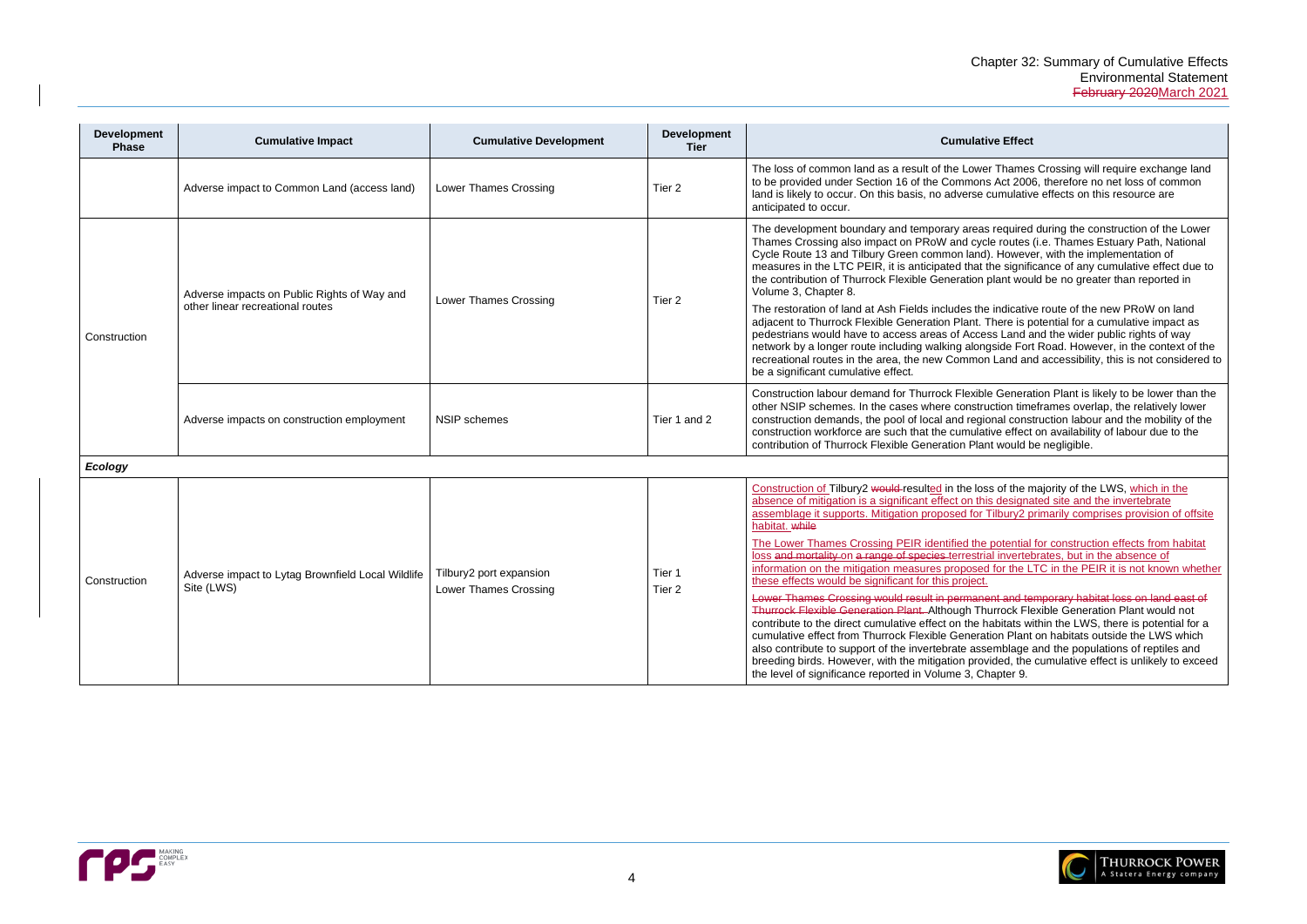r Thames Crossing will require exchange land Act 2006, therefore no net loss of common cumulative effects on this resource are

The quired during the construction of the Lower le routes (i.e. Thames Estuary Path, National ). However, with the implementation of the significance of any cumulative effect due to plant would be no greater than reported in

indicative route of the new PRoW on land There is potential for a cumulative impact as ss Land and the wider public rights of way gside Fort Road. However, in the context of the Land and accessibility, this is not considered to

e Generation Plant is likely to be lower than the iction timeframes overlap, the relatively lower onal construction labour and the mobility of the ive effect on availability of labour due to the nt would be negligible.

It is of the majority of the LWS, which in the s designated site and the invertebrate Tilbury2 primarily comprises provision of offsite

potential for construction effects from habitat al invertebrates, but in the absence of If for the LTC in the PEIR it is not known whether

ent and temporary habitat loss on land east of urrock Flexible Generation Plant would not abitats within the LWS, there is potential for a tion Plant on habitats outside the LWS which emblage and the populations of reptiles and rided, the cumulative effect is unlikely to exceed hapter 9.



| <b>Development</b><br><b>Phase</b> | <b>Cumulative Impact</b>                                                        | <b>Cumulative Development</b>                    | <b>Development</b><br><b>Tier</b> | <b>Cumulative Effect</b>                                                                                                                                                                                                                                                                                                                                                                                                                                                                                                                                                                                                                                                                                                                                                                                                                                                                                    |
|------------------------------------|---------------------------------------------------------------------------------|--------------------------------------------------|-----------------------------------|-------------------------------------------------------------------------------------------------------------------------------------------------------------------------------------------------------------------------------------------------------------------------------------------------------------------------------------------------------------------------------------------------------------------------------------------------------------------------------------------------------------------------------------------------------------------------------------------------------------------------------------------------------------------------------------------------------------------------------------------------------------------------------------------------------------------------------------------------------------------------------------------------------------|
|                                    | Adverse impact to Common Land (access land)                                     | Lower Thames Crossing                            | Tier <sub>2</sub>                 | The loss of common land as a result of the Lower Thames<br>to be provided under Section 16 of the Commons Act 200<br>land is likely to occur. On this basis, no adverse cumulativ<br>anticipated to occur.                                                                                                                                                                                                                                                                                                                                                                                                                                                                                                                                                                                                                                                                                                  |
| Construction                       | Adverse impacts on Public Rights of Way and<br>other linear recreational routes | Lower Thames Crossing                            | Tier 2                            | The development boundary and temporary areas required<br>Thames Crossing also impact on PRoW and cycle routes<br>Cycle Route 13 and Tilbury Green common land). Howeve<br>measures in the LTC PEIR, it is anticipated that the signifi<br>the contribution of Thurrock Flexible Generation plant wou<br>Volume 3, Chapter 8.<br>The restoration of land at Ash Fields includes the indicativ<br>adjacent to Thurrock Flexible Generation Plant. There is p<br>pedestrians would have to access areas of Access Land a<br>network by a longer route including walking alongside For<br>recreational routes in the area, the new Common Land an<br>be a significant cumulative effect.                                                                                                                                                                                                                        |
|                                    | Adverse impacts on construction employment                                      | <b>NSIP</b> schemes                              | Tier 1 and 2                      | Construction labour demand for Thurrock Flexible Genera<br>other NSIP schemes. In the cases where construction time<br>construction demands, the pool of local and regional cons<br>construction workforce are such that the cumulative effect<br>contribution of Thurrock Flexible Generation Plant would b                                                                                                                                                                                                                                                                                                                                                                                                                                                                                                                                                                                                |
| Ecology                            |                                                                                 |                                                  |                                   |                                                                                                                                                                                                                                                                                                                                                                                                                                                                                                                                                                                                                                                                                                                                                                                                                                                                                                             |
| Construction                       | Adverse impact to Lytag Brownfield Local Wildlife<br>Site (LWS)                 | Tilbury2 port expansion<br>Lower Thames Crossing | Tier 1<br>Tier <sub>2</sub>       | Construction of Tilbury2 would-resulted in the loss of the n<br>absence of mitigation is a significant effect on this designa<br>assemblage it supports. Mitigation proposed for Tilbury2 p<br>habitat. while<br>The Lower Thames Crossing PEIR identified the potential<br>loss and mortality on a range of species terrestrial inverted<br>information on the mitigation measures proposed for the L<br>these effects would be significant for this project.<br>Lower Thames Crossing would result in permanent and te<br>Thurrock Flexible Generation Plant. Although Thurrock Fle<br>contribute to the direct cumulative effect on the habitats w<br>cumulative effect from Thurrock Flexible Generation Plant<br>also contribute to support of the invertebrate assemblage<br>breeding birds. However, with the mitigation provided, the<br>the level of significance reported in Volume 3, Chapter 9. |

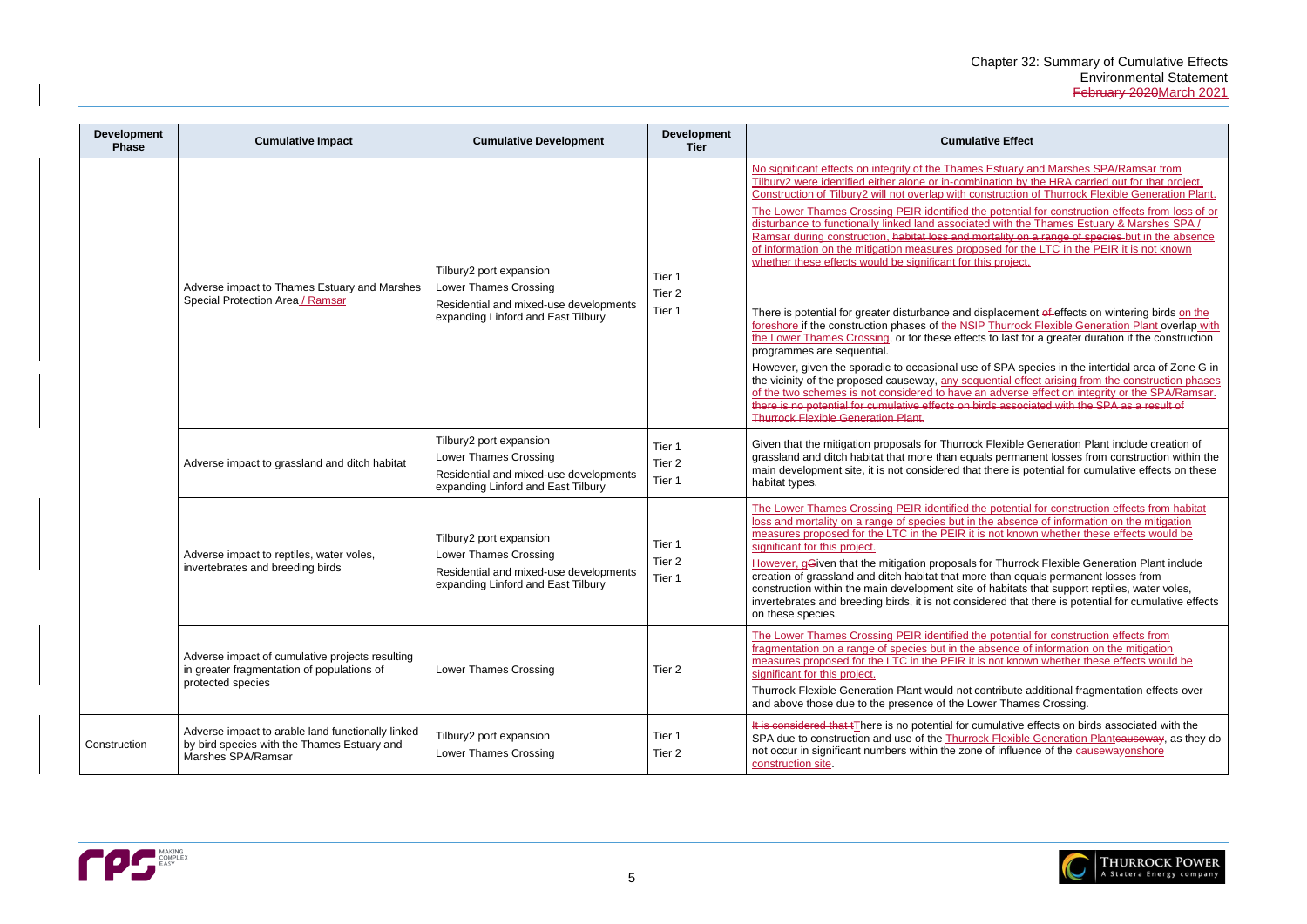Estuary and Marshes SPA/Ramsar from nation by the HRA carried out for that project. struction of Thurrock Flexible Generation Plant.

potential for construction effects from loss of or disturbance to disturbance the Thames Estuary & Marshes SPA / rtality on a range of species but in the absence sed for the LTC in the PEIR it is not known s project.

splacement of effects on wintering birds on the Thurrock Flexible Generation Plant overlap with to last for a greater duration if the construction

f SPA species in the intertidal area of Zone G in ential effect arising from the construction phases adverse effect on integrity or the SPA/Ramsar. the associated with the SPA as a result of

Flexible Generation Plant include creation of Is permanent losses from construction within the there is potential for cumulative effects on these

potential for construction effects from habitat le absence of information on the mitigation not known whether these effects would be

or Thurrock Flexible Generation Plant include than equals permanent losses from habitats that support reptiles, water voles, ered that there is potential for cumulative effects

potential for construction effects from bence of information on the mitigation not known whether these effects would be

ntribute additional fragmentation effects over er Thames Crossing.

mulative effects on birds associated with the **Flexible Generation Planteauseway**, as they do of influence of the causewayonshore



| <b>Development</b><br><b>Phase</b> | <b>Cumulative Impact</b>                                                                                               | <b>Cumulative Development</b>                                                                                                           | <b>Development</b><br><b>Tier</b>     | <b>Cumulative Effect</b>                                                                                                                                                                                                                                                                                                                                                                                                                                                                                                                                                                                                                                                                                                                                                                                                                                                                                                                                                                                                                    |
|------------------------------------|------------------------------------------------------------------------------------------------------------------------|-----------------------------------------------------------------------------------------------------------------------------------------|---------------------------------------|---------------------------------------------------------------------------------------------------------------------------------------------------------------------------------------------------------------------------------------------------------------------------------------------------------------------------------------------------------------------------------------------------------------------------------------------------------------------------------------------------------------------------------------------------------------------------------------------------------------------------------------------------------------------------------------------------------------------------------------------------------------------------------------------------------------------------------------------------------------------------------------------------------------------------------------------------------------------------------------------------------------------------------------------|
|                                    | Adverse impact to Thames Estuary and Marshes<br>Special Protection Area / Ramsar                                       | Tilbury2 port expansion<br>Lower Thames Crossing<br>Residential and mixed-use developments<br>expanding Linford and East Tilbury        | Tier 1<br>Tier <sub>2</sub><br>Tier 1 | No significant effects on integrity of the Thames Estuary a<br>Tilbury2 were identified either alone or in-combination by t<br>Construction of Tilbury2 will not overlap with construction<br>The Lower Thames Crossing PEIR identified the potential<br>disturbance to functionally linked land associated with the<br>Ramsar during construction, habitat loss and mortality on<br>of information on the mitigation measures proposed for the<br>whether these effects would be significant for this project.<br>There is potential for greater disturbance and displacemer<br>foreshore if the construction phases of the NSIP Thurrock<br>the Lower Thames Crossing, or for these effects to last for<br>programmes are sequential.<br>However, given the sporadic to occasional use of SPA spe<br>the vicinity of the proposed causeway, any sequential effe<br>of the two schemes is not considered to have an adverse<br>there is no potential for cumulative effects on birds associa<br><b>Thurrock Flexible Generation Plant.</b> |
|                                    | Adverse impact to grassland and ditch habitat                                                                          | Tilbury2 port expansion<br>Lower Thames Crossing<br>Residential and mixed-use developments<br>expanding Linford and East Tilbury        | Tier 1<br>Tier <sub>2</sub><br>Tier 1 | Given that the mitigation proposals for Thurrock Flexible G<br>grassland and ditch habitat that more than equals perman<br>main development site, it is not considered that there is po<br>habitat types.                                                                                                                                                                                                                                                                                                                                                                                                                                                                                                                                                                                                                                                                                                                                                                                                                                   |
|                                    | Adverse impact to reptiles, water voles,<br>invertebrates and breeding birds                                           | Tilbury2 port expansion<br><b>Lower Thames Crossing</b><br>Residential and mixed-use developments<br>expanding Linford and East Tilbury | Tier 1<br>Tier <sub>2</sub><br>Tier 1 | The Lower Thames Crossing PEIR identified the potential<br>loss and mortality on a range of species but in the absenc<br>measures proposed for the LTC in the PEIR it is not know<br>significant for this project.<br>However, gGiven that the mitigation proposals for Thurroc<br>creation of grassland and ditch habitat that more than equ<br>construction within the main development site of habitats t<br>invertebrates and breeding birds, it is not considered that<br>on these species.                                                                                                                                                                                                                                                                                                                                                                                                                                                                                                                                            |
|                                    | Adverse impact of cumulative projects resulting<br>in greater fragmentation of populations of<br>protected species     | Lower Thames Crossing                                                                                                                   | Tier <sub>2</sub>                     | The Lower Thames Crossing PEIR identified the potential<br>fragmentation on a range of species but in the absence of<br>measures proposed for the LTC in the PEIR it is not know<br>significant for this project.<br>Thurrock Flexible Generation Plant would not contribute a<br>and above those due to the presence of the Lower Thame                                                                                                                                                                                                                                                                                                                                                                                                                                                                                                                                                                                                                                                                                                    |
| Construction                       | Adverse impact to arable land functionally linked<br>by bird species with the Thames Estuary and<br>Marshes SPA/Ramsar | Tilbury2 port expansion<br>Lower Thames Crossing                                                                                        | Tier 1<br>Tier 2                      | It is considered that tThere is no potential for cumulative e<br>SPA due to construction and use of the <b>Thurrock Flexible</b><br>not occur in significant numbers within the zone of influeno<br>construction site.                                                                                                                                                                                                                                                                                                                                                                                                                                                                                                                                                                                                                                                                                                                                                                                                                      |

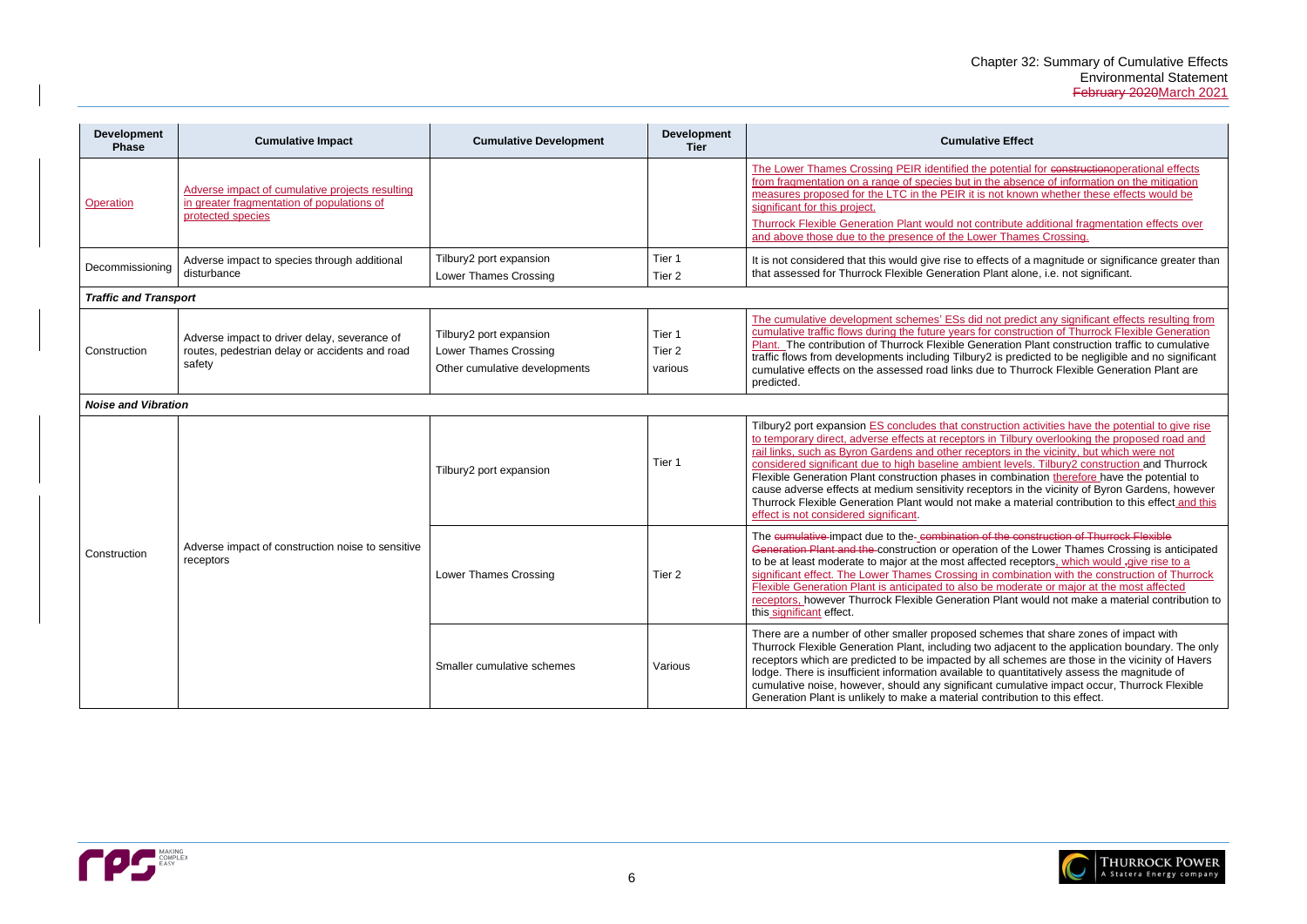potential for constructionoperational effects he absence of information on the mitigation not known whether these effects would be

ntribute additional fragmentation effects over er Thames Crossing.

fects of a magnitude or significance greater than lant alone, i.e. not significant.

not predict any significant effects resulting from r construction of Thurrock Flexible Generation eration Plant construction traffic to cumulative If is predicted to be negligible and no significant e to Thurrock Flexible Generation Plant are

ruction activities have the potential to give rise in Tilbury overlooking the proposed road and ptors in the vicinity, but which were not ent levels. Tilbury2 construction and Thurrock

combination therefore have the potential to ptors in the vicinity of Byron Gardens, however ake a material contribution to this effect and this

f the construction of Thurrock Flexible on of the Lower Thames Crossing is anticipated ted receptors, which would <sub>r</sub>give rise to a combination with the construction of Thurrock e moderate or major at the most affected Plant would not make a material contribution to

chemes that share zones of impact with adjacent to the application boundary. The only all schemes are those in the vicinity of Havers to quantitatively assess the magnitude of it cumulative impact occur, Thurrock Flexible ontribution to this effect.



| <b>Development</b><br><b>Phase</b> | <b>Cumulative Impact</b>                                                                                 | <b>Cumulative Development</b>                                                     | <b>Development</b><br><b>Tier</b>      | <b>Cumulative Effect</b>                                                                                                                                                                                                                                                                                                                                                                                                                                                              |
|------------------------------------|----------------------------------------------------------------------------------------------------------|-----------------------------------------------------------------------------------|----------------------------------------|---------------------------------------------------------------------------------------------------------------------------------------------------------------------------------------------------------------------------------------------------------------------------------------------------------------------------------------------------------------------------------------------------------------------------------------------------------------------------------------|
| <b>Operation</b>                   | Adverse impact of cumulative projects resulting<br>in greater fragmentation of populations of            |                                                                                   |                                        | The Lower Thames Crossing PEIR identified the potential<br>from fragmentation on a range of species but in the absen<br>measures proposed for the LTC in the PEIR it is not know<br>significant for this project.                                                                                                                                                                                                                                                                     |
|                                    | protected species                                                                                        |                                                                                   |                                        | Thurrock Flexible Generation Plant would not contribute a<br>and above those due to the presence of the Lower Thame                                                                                                                                                                                                                                                                                                                                                                   |
| Decommissioning                    | Adverse impact to species through additional<br>disturbance                                              | Tilbury2 port expansion<br><b>Lower Thames Crossing</b>                           | Tier 1<br>Tier <sub>2</sub>            | It is not considered that this would give rise to effects of a<br>that assessed for Thurrock Flexible Generation Plant alon                                                                                                                                                                                                                                                                                                                                                           |
| <b>Traffic and Transport</b>       |                                                                                                          |                                                                                   |                                        |                                                                                                                                                                                                                                                                                                                                                                                                                                                                                       |
| Construction                       | Adverse impact to driver delay, severance of<br>routes, pedestrian delay or accidents and road<br>safety | Tilbury2 port expansion<br>Lower Thames Crossing<br>Other cumulative developments | Tier 1<br>Tier <sub>2</sub><br>various | The cumulative development schemes' ESs did not predic<br>cumulative traffic flows during the future years for construct<br>Plant. The contribution of Thurrock Flexible Generation P<br>traffic flows from developments including Tilbury2 is predio<br>cumulative effects on the assessed road links due to Thur<br>predicted.                                                                                                                                                      |
| <b>Noise and Vibration</b>         |                                                                                                          |                                                                                   |                                        |                                                                                                                                                                                                                                                                                                                                                                                                                                                                                       |
|                                    |                                                                                                          | Tilbury2 port expansion                                                           | Tier 1                                 | Tilbury2 port expansion ES concludes that construction ad<br>to temporary direct, adverse effects at receptors in Tilbury<br>rail links, such as Byron Gardens and other receptors in th<br>considered significant due to high baseline ambient levels<br>Flexible Generation Plant construction phases in combina<br>cause adverse effects at medium sensitivity receptors in th<br>Thurrock Flexible Generation Plant would not make a mat<br>effect is not considered significant. |
| Construction                       | Adverse impact of construction noise to sensitive<br>receptors                                           | <b>Lower Thames Crossing</b>                                                      | Tier <sub>2</sub>                      | The cumulative impact due to the-combination of the cons<br>Generation Plant and the construction or operation of the<br>to be at least moderate to major at the most affected recep<br>significant effect. The Lower Thames Crossing in combina<br>Flexible Generation Plant is anticipated to also be modera<br>receptors, however Thurrock Flexible Generation Plant wo<br>this_significant effect.                                                                                |
|                                    |                                                                                                          | Smaller cumulative schemes                                                        | Various                                | There are a number of other smaller proposed schemes th<br>Thurrock Flexible Generation Plant, including two adjacen<br>receptors which are predicted to be impacted by all schem<br>lodge. There is insufficient information available to quantiti<br>cumulative noise, however, should any significant cumulat<br>Generation Plant is unlikely to make a material contributio                                                                                                       |

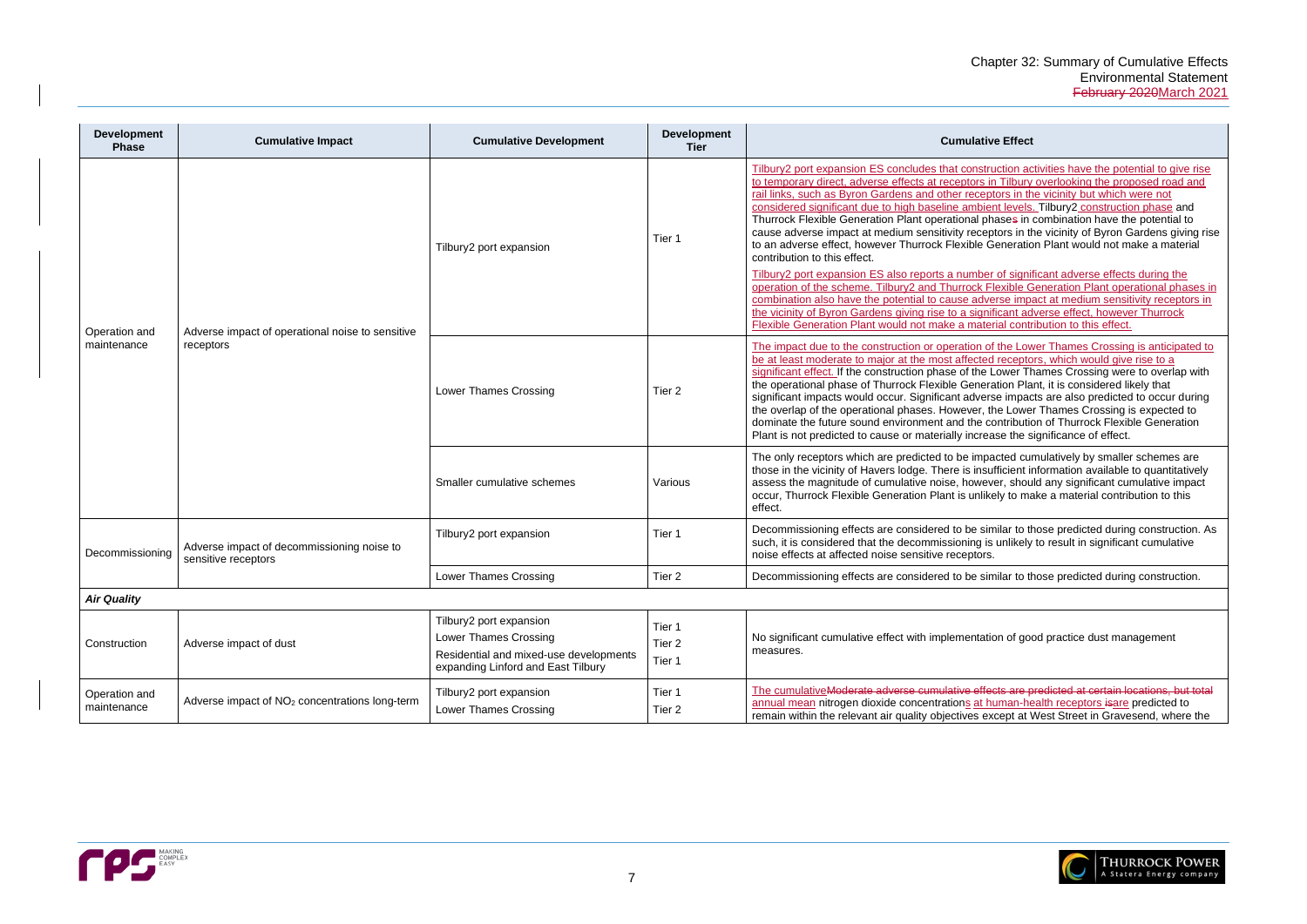ruction activities have the potential to give rise in Tilbury overlooking the proposed road and ptors in the vicinity but which were not

ent levels. Tilbury2 construction phase and hases in combination have the potential to ptors in the vicinity of Byron Gardens giving rise Generation Plant would not make a material

er of significant adverse effects during the Flexible Generation Plant operational phases in erse impact at medium sensitivity receptors in ificant adverse effect, however Thurrock erial contribution to this effect.

of the Lower Thames Crossing is anticipated to d receptors, which would give rise to a Lower Thames Crossing were to overlap with ration Plant, it is considered likely that rse impacts are also predicted to occur during the Lower Thames Crossing is expected to contribution of Thurrock Flexible Generation ease the significance of effect.

acted cumulatively by smaller schemes are ufficient information available to quantitatively ver, should any significant cumulative impact kely to make a material contribution to this

milar to those predicted during construction. As s unlikely to result in significant cumulative

milar to those predicted during construction.

tion of good practice dust management

**The cumulative cumulative contains contains are predicted and at certain and at certain and at certain and at** numan-health receptors isare predicted to xcept at West Street in Gravesend, where the



| <b>Development</b><br><b>Phase</b> | <b>Cumulative Impact</b>                                          | <b>Cumulative Development</b>                                                                                                           | <b>Development</b><br><b>Tier</b>     | <b>Cumulative Effect</b>                                                                                                                                                                                                                                                                                                                                                                                                                                                                                                                                                                                                                                                                                                                                                                           |
|------------------------------------|-------------------------------------------------------------------|-----------------------------------------------------------------------------------------------------------------------------------------|---------------------------------------|----------------------------------------------------------------------------------------------------------------------------------------------------------------------------------------------------------------------------------------------------------------------------------------------------------------------------------------------------------------------------------------------------------------------------------------------------------------------------------------------------------------------------------------------------------------------------------------------------------------------------------------------------------------------------------------------------------------------------------------------------------------------------------------------------|
|                                    |                                                                   | Tilbury2 port expansion                                                                                                                 | Tier 1                                | Tilbury2 port expansion ES concludes that construction ad<br>to temporary direct, adverse effects at receptors in Tilbury<br>rail links, such as Byron Gardens and other receptors in th<br>considered significant due to high baseline ambient levels<br>Thurrock Flexible Generation Plant operational phases in<br>cause adverse impact at medium sensitivity receptors in th<br>to an adverse effect, however Thurrock Flexible Generatic<br>contribution to this effect.<br>Tilbury2 port expansion ES also reports a number of signi<br>operation of the scheme. Tilbury2 and Thurrock Flexible G<br>combination also have the potential to cause adverse imp-<br>the vicinity of Byron Gardens giving rise to a significant ad<br>Flexible Generation Plant would not make a material contr |
| Operation and<br>maintenance       | Adverse impact of operational noise to sensitive<br>receptors     | <b>Lower Thames Crossing</b>                                                                                                            | Tier <sub>2</sub>                     | The impact due to the construction or operation of the Lov<br>be at least moderate to major at the most affected receptor<br>significant effect. If the construction phase of the Lower Th<br>the operational phase of Thurrock Flexible Generation Pla<br>significant impacts would occur. Significant adverse impac<br>the overlap of the operational phases. However, the Lowe<br>dominate the future sound environment and the contribution<br>Plant is not predicted to cause or materially increase the s                                                                                                                                                                                                                                                                                    |
|                                    |                                                                   | Smaller cumulative schemes                                                                                                              | Various                               | The only receptors which are predicted to be impacted cur<br>those in the vicinity of Havers lodge. There is insufficient in<br>assess the magnitude of cumulative noise, however, shou<br>occur, Thurrock Flexible Generation Plant is unlikely to ma<br>effect.                                                                                                                                                                                                                                                                                                                                                                                                                                                                                                                                  |
| Decommissioning                    | Adverse impact of decommissioning noise to<br>sensitive receptors | Tilbury2 port expansion                                                                                                                 | Tier 1                                | Decommissioning effects are considered to be similar to th<br>such, it is considered that the decommissioning is unlikely<br>noise effects at affected noise sensitive receptors.                                                                                                                                                                                                                                                                                                                                                                                                                                                                                                                                                                                                                  |
|                                    |                                                                   | Lower Thames Crossing                                                                                                                   | Tier <sub>2</sub>                     | Decommissioning effects are considered to be similar to the                                                                                                                                                                                                                                                                                                                                                                                                                                                                                                                                                                                                                                                                                                                                        |
| <b>Air Quality</b>                 |                                                                   |                                                                                                                                         |                                       |                                                                                                                                                                                                                                                                                                                                                                                                                                                                                                                                                                                                                                                                                                                                                                                                    |
| Construction                       | Adverse impact of dust                                            | Tilbury2 port expansion<br><b>Lower Thames Crossing</b><br>Residential and mixed-use developments<br>expanding Linford and East Tilbury | Tier 1<br>Tier <sub>2</sub><br>Tier 1 | No significant cumulative effect with implementation of good<br>measures.                                                                                                                                                                                                                                                                                                                                                                                                                                                                                                                                                                                                                                                                                                                          |
| Operation and<br>maintenance       | Adverse impact of NO <sub>2</sub> concentrations long-term        | Tilbury2 port expansion<br>Lower Thames Crossing                                                                                        | Tier 1<br>Tier 2                      | The cumulativeModerate adverse cumulative effects are p<br>annual mean nitrogen dioxide concentrations at human-he<br>remain within the relevant air quality objectives except at \                                                                                                                                                                                                                                                                                                                                                                                                                                                                                                                                                                                                                |

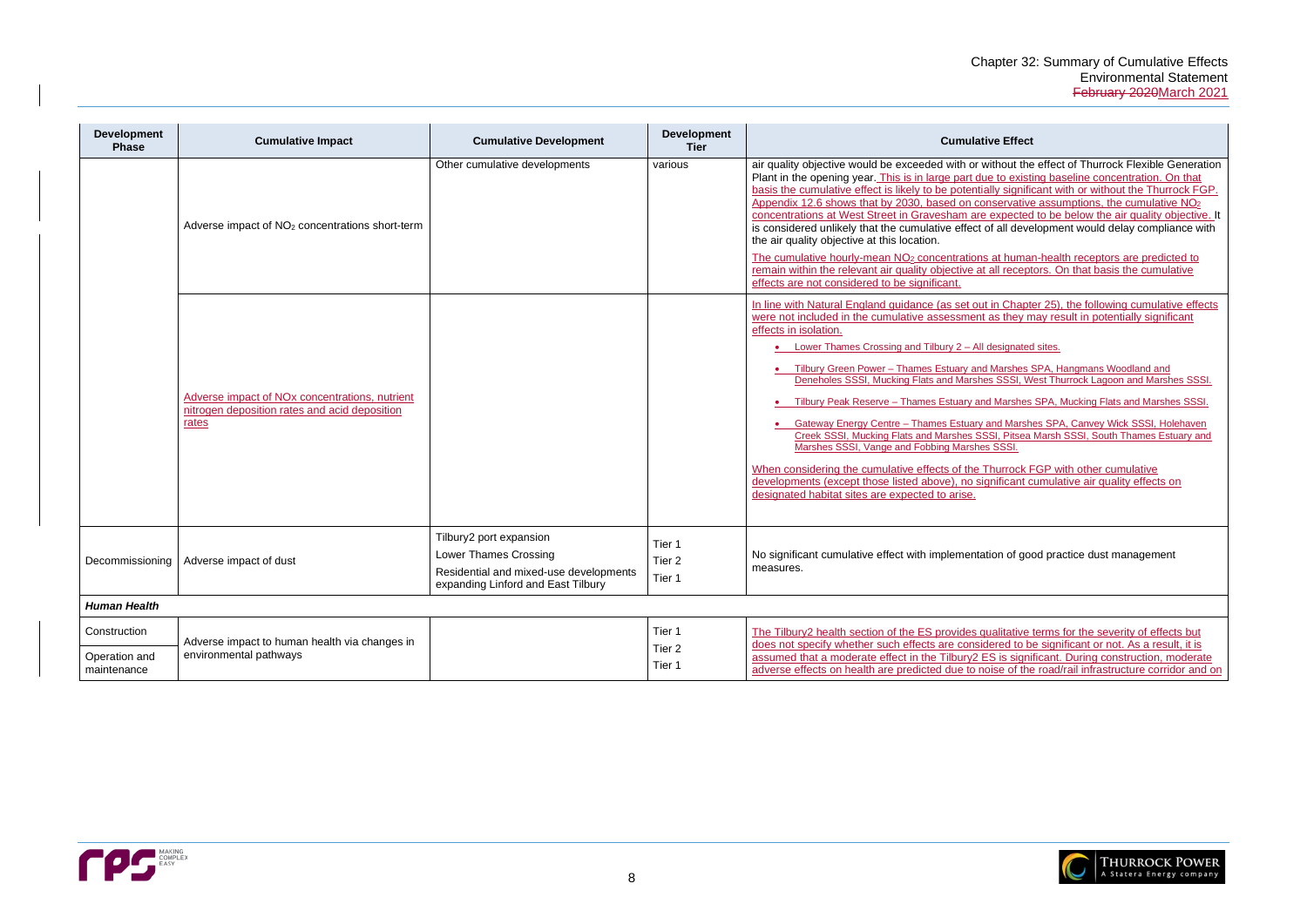| <b>Development</b><br><b>Phase</b> | <b>Cumulative Impact</b>                                                                                             | <b>Cumulative Development</b>                                                                                                           | <b>Development</b><br><b>Tier</b> | <b>Cumulative Effect</b>                                                                                                                                                                                                                                                                                                                                                                                                                                                                                                                                                                                                                                                                                                                                                                                                                                                                                                                                                                                                                     |
|------------------------------------|----------------------------------------------------------------------------------------------------------------------|-----------------------------------------------------------------------------------------------------------------------------------------|-----------------------------------|----------------------------------------------------------------------------------------------------------------------------------------------------------------------------------------------------------------------------------------------------------------------------------------------------------------------------------------------------------------------------------------------------------------------------------------------------------------------------------------------------------------------------------------------------------------------------------------------------------------------------------------------------------------------------------------------------------------------------------------------------------------------------------------------------------------------------------------------------------------------------------------------------------------------------------------------------------------------------------------------------------------------------------------------|
|                                    | Adverse impact of NO <sub>2</sub> concentrations short-term                                                          | Other cumulative developments                                                                                                           | various                           | air quality objective would be exceeded with or without the effect of Thurrock Flexible Generation<br>Plant in the opening year. This is in large part due to existing baseline concentration. On that<br>basis the cumulative effect is likely to be potentially significant with or without the Thurrock FGP.<br>Appendix 12.6 shows that by 2030, based on conservative assumptions, the cumulative NO <sub>2</sub><br>concentrations at West Street in Gravesham are expected to be below the air quality objective. It<br>is considered unlikely that the cumulative effect of all development would delay compliance with<br>the air quality objective at this location.<br>The cumulative hourly-mean NO <sub>2</sub> concentrations at human-health receptors are predicted to<br>remain within the relevant air quality objective at all receptors. On that basis the cumulative<br>effects are not considered to be significant.                                                                                                   |
|                                    | Adverse impact of NO <sub>x</sub> concentrations, nutrient<br>nitrogen deposition rates and acid deposition<br>rates |                                                                                                                                         |                                   | In line with Natural England guidance (as set out in Chapter 25), the following cumulative effects<br>were not included in the cumulative assessment as they may result in potentially significant<br>effects in isolation.<br>• Lower Thames Crossing and Tilbury 2 - All designated sites.<br>• Tilbury Green Power - Thames Estuary and Marshes SPA, Hangmans Woodland and<br>Deneholes SSSI, Mucking Flats and Marshes SSSI, West Thurrock Lagoon and Marshes SSSI.<br>Tilbury Peak Reserve - Thames Estuary and Marshes SPA, Mucking Flats and Marshes SSSI.<br>• Gateway Energy Centre - Thames Estuary and Marshes SPA, Canvey Wick SSSI, Holehaven<br>Creek SSSI, Mucking Flats and Marshes SSSI, Pitsea Marsh SSSI, South Thames Estuary and<br>Marshes SSSI, Vange and Fobbing Marshes SSSI.<br>When considering the cumulative effects of the Thurrock FGP with other cumulative<br>developments (except those listed above), no significant cumulative air quality effects on<br>designated habitat sites are expected to arise. |
| Decommissioning                    | Adverse impact of dust                                                                                               | Tilbury2 port expansion<br><b>Lower Thames Crossing</b><br>Residential and mixed-use developments<br>expanding Linford and East Tilbury | Tier 1<br>Tier 2<br>Tier 1        | No significant cumulative effect with implementation of good practice dust management<br>measures.                                                                                                                                                                                                                                                                                                                                                                                                                                                                                                                                                                                                                                                                                                                                                                                                                                                                                                                                           |
| <b>Human Health</b>                |                                                                                                                      |                                                                                                                                         |                                   |                                                                                                                                                                                                                                                                                                                                                                                                                                                                                                                                                                                                                                                                                                                                                                                                                                                                                                                                                                                                                                              |
| Construction                       | Adverse impact to human health via changes in                                                                        |                                                                                                                                         | Tier 1<br>Tier 2                  | The Tilbury2 health section of the ES provides qualitative terms for the severity of effects but<br>does not specify whether such effects are considered to be significant or not. As a result, it is                                                                                                                                                                                                                                                                                                                                                                                                                                                                                                                                                                                                                                                                                                                                                                                                                                        |
| Operation and<br>maintenance       | environmental pathways                                                                                               |                                                                                                                                         | Tier 1                            | assumed that a moderate effect in the Tilbury2 ES is significant. During construction, moderate<br>adverse effects on health are predicted due to noise of the road/rail infrastructure corridor and on                                                                                                                                                                                                                                                                                                                                                                                                                                                                                                                                                                                                                                                                                                                                                                                                                                      |
|                                    |                                                                                                                      |                                                                                                                                         |                                   |                                                                                                                                                                                                                                                                                                                                                                                                                                                                                                                                                                                                                                                                                                                                                                                                                                                                                                                                                                                                                                              |



| <b>Cumulative Effect</b>                                                                                                                                                                                                                                                                                                                                                                                                                                                                                                                                                                                                               |
|----------------------------------------------------------------------------------------------------------------------------------------------------------------------------------------------------------------------------------------------------------------------------------------------------------------------------------------------------------------------------------------------------------------------------------------------------------------------------------------------------------------------------------------------------------------------------------------------------------------------------------------|
| uality objective would be exceeded with or without the effect of Thurrock Flexible Generation<br>t in the opening year. This is in large part due to existing baseline concentration. On that<br>s the cumulative effect is likely to be potentially significant with or without the Thurrock FGP.<br>endix 12.6 shows that by 2030, based on conservative assumptions, the cumulative $NO2$<br>entrations at West Street in Gravesham are expected to be below the air quality objective. It<br>nsidered unlikely that the cumulative effect of all development would delay compliance with<br>ir quality objective at this location. |
| cumulative hourly-mean NO <sub>2</sub> concentrations at human-health receptors are predicted to<br>ain within the relevant air quality objective at all receptors. On that basis the cumulative<br>ts are not considered to be significant.                                                                                                                                                                                                                                                                                                                                                                                           |
| e with Natural England guidance (as set out in Chapter 25), the following cumulative effects<br>not included in the cumulative assessment as they may result in potentially significant<br>ts in isolation.<br>Lower Thames Crossing and Tilbury 2 - All designated sites.<br>$\bullet$                                                                                                                                                                                                                                                                                                                                                |
| Tilbury Green Power - Thames Estuary and Marshes SPA, Hangmans Woodland and<br>$\bullet$<br>Deneholes SSSI, Mucking Flats and Marshes SSSI, West Thurrock Lagoon and Marshes SSSI.<br>. Tilbury Peak Reserve - Thames Estuary and Marshes SPA, Mucking Flats and Marshes SSSI.                                                                                                                                                                                                                                                                                                                                                         |
| Gateway Energy Centre - Thames Estuary and Marshes SPA, Canvey Wick SSSI, Holehaven<br>$\bullet$<br>Creek SSSI, Mucking Flats and Marshes SSSI, Pitsea Marsh SSSI, South Thames Estuary and<br>Marshes SSSI, Vange and Fobbing Marshes SSSI.                                                                                                                                                                                                                                                                                                                                                                                           |
| In considering the cumulative effects of the Thurrock FGP with other cumulative<br>lopments (except those listed above), no significant cumulative air quality effects on<br>gnated habitat sites are expected to arise.                                                                                                                                                                                                                                                                                                                                                                                                               |
| ignificant cumulative effect with implementation of good practice dust management<br>sures.                                                                                                                                                                                                                                                                                                                                                                                                                                                                                                                                            |
|                                                                                                                                                                                                                                                                                                                                                                                                                                                                                                                                                                                                                                        |
| Tilbury2 health section of the ES provides qualitative terms for the severity of effects but<br>not specify whether such effects are considered to be significant or not. As a result, it is<br>med that a moderate effect in the Tilbury2 ES is significant. During construction, moderate<br>rse effects on health are predicted due to noise of the road/rail infrastructure corridor and on                                                                                                                                                                                                                                        |

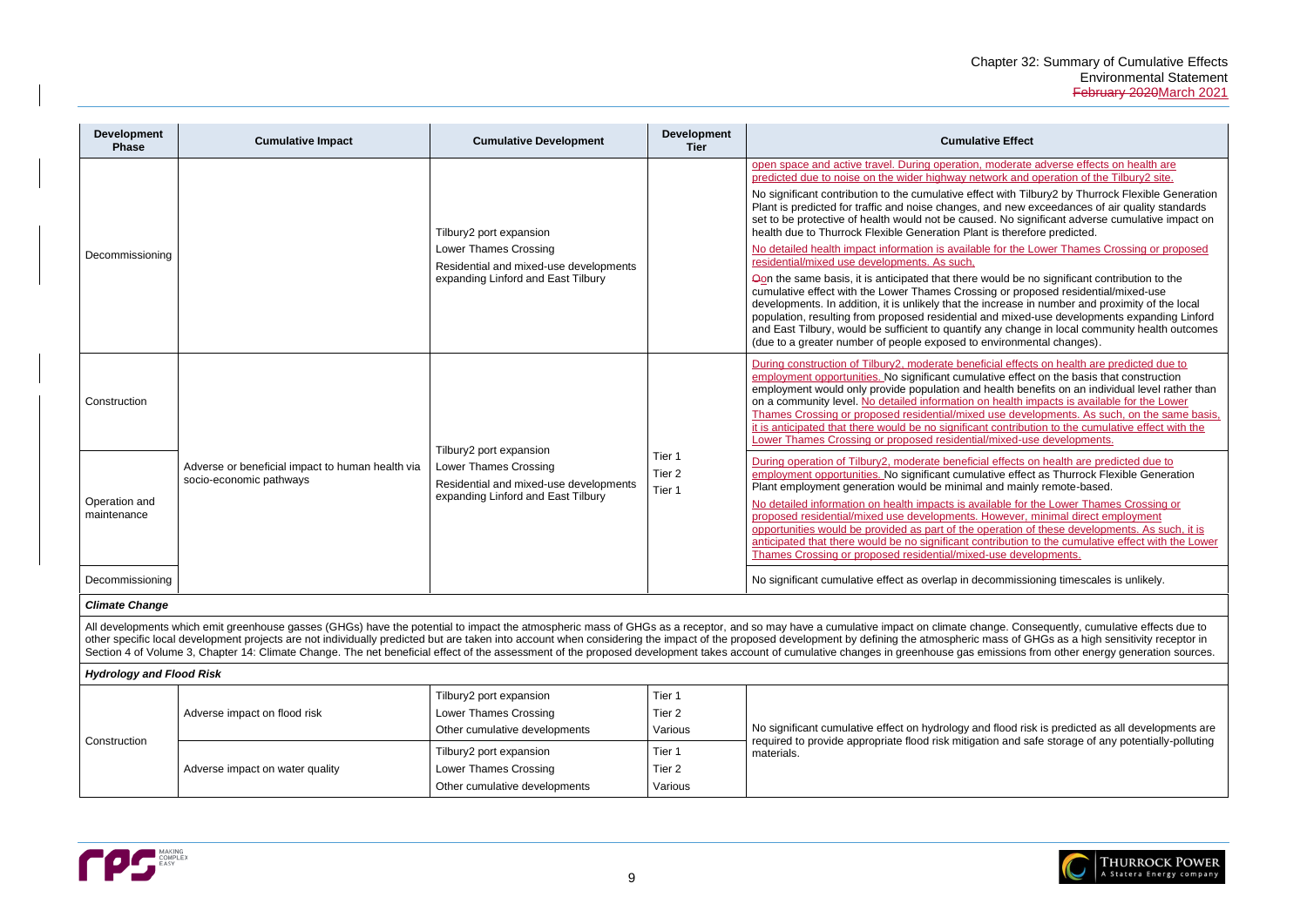operate adverse effects on health are predicted and operation of the Tilbury2 site.

t with Tilbury2 by Thurrock Flexible Generation nd new exceedances of air quality standards . No significant adverse cumulative impact on is therefore predicted.

for the Lower Thames Crossing or proposed

ould be no significant contribution to the g or proposed residential/mixed-use crease in number and proximity of the local d mixed-use developments expanding Linford ny change in local community health outcomes vironmental changes).

ial effects on health are predicted due to ive effect on the basis that construction ealth benefits on an individual level rather than health impacts is available for the Lower Ise developments. As such, on the same basis, contribution to the cumulative effect with the nixed-use developments.

effects on health are predicted due to ive effect as Thurrock Flexible Generation nd mainly remote-based.

able for the Lower Thames Crossing or pwever, minimal direct employment pration of these developments. As such, it is ribution to the cumulative effect with the Lower **use developments.** 

ommissioning timescales is unlikely.

de. Consequently, cumulative effects due to impact of GHGs as a receptor, and so mass of GHGs and so ass of GHGs as a high sensitivity receptor in issions from other energy generation sources.

flood risk is predicted as all developments are in and safe storage of any potentially-polluting



| <b>Development</b><br><b>Phase</b> | <b>Cumulative Impact</b>                                                    | <b>Cumulative Development</b>                                                                                                           | <b>Development</b><br><b>Tier</b>      | <b>Cumulative Effect</b>                                                                                                                                                                                                                                                                                                                                                                                                                                                                                                                                                                                                                                                                                                                                                                                                                                                                         |
|------------------------------------|-----------------------------------------------------------------------------|-----------------------------------------------------------------------------------------------------------------------------------------|----------------------------------------|--------------------------------------------------------------------------------------------------------------------------------------------------------------------------------------------------------------------------------------------------------------------------------------------------------------------------------------------------------------------------------------------------------------------------------------------------------------------------------------------------------------------------------------------------------------------------------------------------------------------------------------------------------------------------------------------------------------------------------------------------------------------------------------------------------------------------------------------------------------------------------------------------|
| Decommissioning                    |                                                                             | Tilbury2 port expansion<br>Lower Thames Crossing<br>Residential and mixed-use developments<br>expanding Linford and East Tilbury        |                                        | open space and active travel. During operation, moderate<br>predicted due to noise on the wider highway network and<br>No significant contribution to the cumulative effect with Till<br>Plant is predicted for traffic and noise changes, and new $\epsilon$<br>set to be protective of health would not be caused. No sign<br>health due to Thurrock Flexible Generation Plant is therefo<br>No detailed health impact information is available for the L<br>residential/mixed use developments. As such,<br>Oon the same basis, it is anticipated that there would be n<br>cumulative effect with the Lower Thames Crossing or prop<br>developments. In addition, it is unlikely that the increase ir<br>population, resulting from proposed residential and mixed-<br>and East Tilbury, would be sufficient to quantify any chang<br>(due to a greater number of people exposed to environme |
| Construction                       | Adverse or beneficial impact to human health via<br>socio-economic pathways | Tilbury2 port expansion<br><b>Lower Thames Crossing</b><br>Residential and mixed-use developments<br>expanding Linford and East Tilbury | Tier 1<br>Tier <sub>2</sub><br>Tier 1  | During construction of Tilbury2, moderate beneficial effect<br>employment opportunities. No significant cumulative effec<br>employment would only provide population and health ber<br>on a community level. No detailed information on health in<br>Thames Crossing or proposed residential/mixed use deve<br>it is anticipated that there would be no significant contribut<br>Lower Thames Crossing or proposed residential/mixed-us                                                                                                                                                                                                                                                                                                                                                                                                                                                          |
| Operation and<br>maintenance       |                                                                             |                                                                                                                                         |                                        | During operation of Tilbury2, moderate beneficial effects of<br>employment opportunities. No significant cumulative effec<br>Plant employment generation would be minimal and mainl<br>No detailed information on health impacts is available for t<br>proposed residential/mixed use developments. However,<br>opportunities would be provided as part of the operation of<br>anticipated that there would be no significant contribution<br>Thames Crossing or proposed residential/mixed-use deve                                                                                                                                                                                                                                                                                                                                                                                             |
| Decommissioning                    |                                                                             |                                                                                                                                         |                                        | No significant cumulative effect as overlap in decommissic                                                                                                                                                                                                                                                                                                                                                                                                                                                                                                                                                                                                                                                                                                                                                                                                                                       |
| <b>Climate Change</b>              |                                                                             |                                                                                                                                         |                                        |                                                                                                                                                                                                                                                                                                                                                                                                                                                                                                                                                                                                                                                                                                                                                                                                                                                                                                  |
|                                    |                                                                             |                                                                                                                                         |                                        | All developments which emit greenhouse gasses (GHGs) have the potential to impact the atmospheric mass of GHGs as a receptor, and so may have a cumulative impact on climate change. Con<br>other specific local development projects are not individually predicted but are taken into account when considering the impact of the proposed development by defining the atmospheric mass of G<br>Section 4 of Volume 3, Chapter 14: Climate Change. The net beneficial effect of the assessment of the proposed development takes account of cumulative changes in greenhouse gas emissions f                                                                                                                                                                                                                                                                                                    |
| <b>Hydrology and Flood Risk</b>    |                                                                             |                                                                                                                                         |                                        |                                                                                                                                                                                                                                                                                                                                                                                                                                                                                                                                                                                                                                                                                                                                                                                                                                                                                                  |
| Construction                       | Adverse impact on flood risk                                                | Tilbury2 port expansion<br>Lower Thames Crossing<br>Other cumulative developments                                                       | Tier 1<br>Tier <sub>2</sub><br>Various | No significant cumulative effect on hydrology and flood ris<br>required to provide appropriate flood risk mitigation and sa<br>materials.                                                                                                                                                                                                                                                                                                                                                                                                                                                                                                                                                                                                                                                                                                                                                        |
|                                    | Adverse impact on water quality                                             | Tilbury2 port expansion<br>Lower Thames Crossing<br>Other cumulative developments                                                       | Tier 1<br>Tier 2<br>Various            |                                                                                                                                                                                                                                                                                                                                                                                                                                                                                                                                                                                                                                                                                                                                                                                                                                                                                                  |